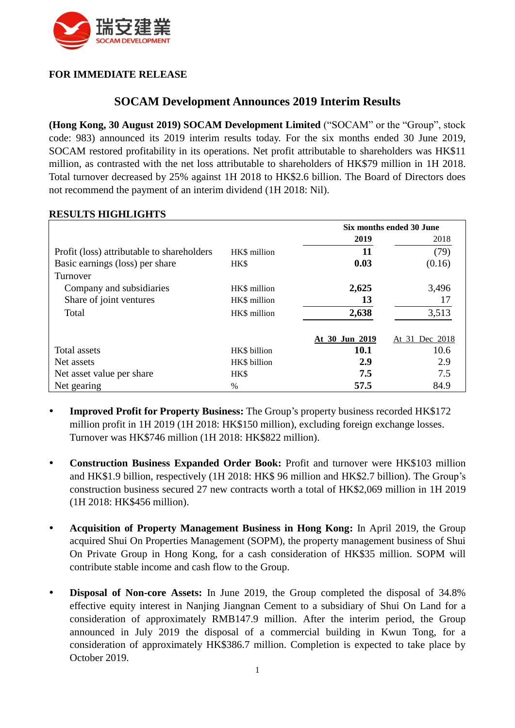

## **FOR IMMEDIATE RELEASE**

# **SOCAM Development Announces 2019 Interim Results**

**(Hong Kong, 30 August 2019) SOCAM Development Limited** ("SOCAM" or the "Group", stock code: 983) announced its 2019 interim results today. For the six months ended 30 June 2019, SOCAM restored profitability in its operations. Net profit attributable to shareholders was HK\$11 million, as contrasted with the net loss attributable to shareholders of HK\$79 million in 1H 2018. Total turnover decreased by 25% against 1H 2018 to HK\$2.6 billion. The Board of Directors does not recommend the payment of an interim dividend (1H 2018: Nil).

|                                            |               | Six months ended 30 June |                |
|--------------------------------------------|---------------|--------------------------|----------------|
|                                            |               | 2019                     | 2018           |
| Profit (loss) attributable to shareholders | HK\$ million  | 11                       | (79)           |
| Basic earnings (loss) per share            | HK\$          | 0.03                     | (0.16)         |
| Turnover                                   |               |                          |                |
| Company and subsidiaries                   | HK\$ million  | 2,625                    | 3,496          |
| Share of joint ventures                    | HK\$ million  | 13                       |                |
| Total                                      | HK\$ million  | 2,638                    | 3,513          |
|                                            |               | At 30 Jun 2019           | At 31 Dec 2018 |
| Total assets                               | HK\$ billion  | 10.1                     | 10.6           |
| Net assets                                 | HK\$ billion  | 2.9                      | 2.9            |
| Net asset value per share                  | HK\$          | 7.5                      | 7.5            |
| Net gearing                                | $\frac{0}{0}$ | 57.5                     | 84.9           |

#### **RESULTS HIGHLIGHTS**

- **Improved Profit for Property Business:** The Group's property business recorded HK\$172 million profit in 1H 2019 (1H 2018: HK\$150 million), excluding foreign exchange losses. Turnover was HK\$746 million (1H 2018: HK\$822 million).
- **Construction Business Expanded Order Book:** Profit and turnover were HK\$103 million and HK\$1.9 billion, respectively (1H 2018: HK\$ 96 million and HK\$2.7 billion). The Group's construction business secured 27 new contracts worth a total of HK\$2,069 million in 1H 2019 (1H 2018: HK\$456 million).
- **Acquisition of Property Management Business in Hong Kong:** In April 2019, the Group acquired Shui On Properties Management (SOPM), the property management business of Shui On Private Group in Hong Kong, for a cash consideration of HK\$35 million. SOPM will contribute stable income and cash flow to the Group.
- **Disposal of Non-core Assets:** In June 2019, the Group completed the disposal of 34.8% effective equity interest in Nanjing Jiangnan Cement to a subsidiary of Shui On Land for a consideration of approximately RMB147.9 million. After the interim period, the Group announced in July 2019 the disposal of a commercial building in Kwun Tong, for a consideration of approximately HK\$386.7 million. Completion is expected to take place by October 2019.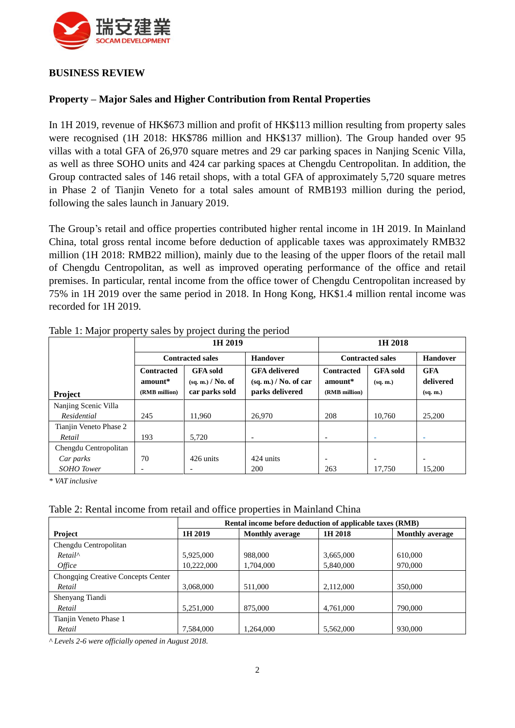

## **BUSINESS REVIEW**

### **Property – Major Sales and Higher Contribution from Rental Properties**

In 1H 2019, revenue of HK\$673 million and profit of HK\$113 million resulting from property sales were recognised (1H 2018: HK\$786 million and HK\$137 million). The Group handed over 95 villas with a total GFA of 26,970 square metres and 29 car parking spaces in Nanjing Scenic Villa, as well as three SOHO units and 424 car parking spaces at Chengdu Centropolitan. In addition, the Group contracted sales of 146 retail shops, with a total GFA of approximately 5,720 square metres in Phase 2 of Tianjin Veneto for a total sales amount of RMB193 million during the period, following the sales launch in January 2019.

The Group's retail and office properties contributed higher rental income in 1H 2019. In Mainland China, total gross rental income before deduction of applicable taxes was approximately RMB32 million (1H 2018: RMB22 million), mainly due to the leasing of the upper floors of the retail mall of Chengdu Centropolitan, as well as improved operating performance of the office and retail premises. In particular, rental income from the office tower of Chengdu Centropolitan increased by 75% in 1H 2019 over the same period in 2018. In Hong Kong, HK\$1.4 million rental income was recorded for 1H 2019.

|                        | 1H 2019                                       |                                                        | 1H 2018                                                            |                                               |                             |                                     |
|------------------------|-----------------------------------------------|--------------------------------------------------------|--------------------------------------------------------------------|-----------------------------------------------|-----------------------------|-------------------------------------|
|                        | <b>Contracted sales</b>                       |                                                        | <b>Handover</b>                                                    | <b>Contracted sales</b>                       |                             | <b>Handover</b>                     |
| Project                | <b>Contracted</b><br>amount*<br>(RMB million) | <b>GFA</b> sold<br>(sq, m.) / No. of<br>car parks sold | <b>GFA</b> delivered<br>$(sq, m.)$ / No. of car<br>parks delivered | <b>Contracted</b><br>amount*<br>(RMB million) | <b>GFA</b> sold<br>(sq. m.) | <b>GFA</b><br>delivered<br>(sq, m.) |
| Nanjing Scenic Villa   |                                               |                                                        |                                                                    |                                               |                             |                                     |
| Residential            | 245                                           | 11.960                                                 | 26,970                                                             | 208                                           | 10.760                      | 25,200                              |
| Tianjin Veneto Phase 2 |                                               |                                                        |                                                                    |                                               |                             |                                     |
| Retail                 | 193                                           | 5,720                                                  | $\overline{\phantom{0}}$                                           |                                               | $\overline{\phantom{a}}$    | ۰                                   |
| Chengdu Centropolitan  |                                               |                                                        |                                                                    |                                               |                             |                                     |
| Car parks              | 70                                            | 426 units                                              | 424 units                                                          | $\overline{\phantom{a}}$                      | $\overline{\phantom{a}}$    | $\overline{\phantom{0}}$            |
| <b>SOHO</b> Tower      |                                               |                                                        | 200                                                                | 263                                           | 17.750                      | 15.200                              |

Table 1: Major property sales by project during the period

*\* VAT inclusive*

#### Table 2: Rental income from retail and office properties in Mainland China

|                                           | Rental income before deduction of applicable taxes (RMB) |                        |           |                        |
|-------------------------------------------|----------------------------------------------------------|------------------------|-----------|------------------------|
| <b>Project</b>                            | 1H 2019                                                  | <b>Monthly average</b> | 1H 2018   | <b>Monthly average</b> |
| Chengdu Centropolitan                     |                                                          |                        |           |                        |
| $Retail^{\wedge}$                         | 5,925,000                                                | 988,000                | 3,665,000 | 610,000                |
| <i>Office</i>                             | 10,222,000                                               | 1,704,000              | 5,840,000 | 970,000                |
| <b>Chongqing Creative Concepts Center</b> |                                                          |                        |           |                        |
| Retail                                    | 3.068.000                                                | 511,000                | 2,112,000 | 350,000                |
| Shenyang Tiandi                           |                                                          |                        |           |                        |
| Retail                                    | 5,251,000                                                | 875,000                | 4,761,000 | 790,000                |
| Tianjin Veneto Phase 1                    |                                                          |                        |           |                        |
| Retail                                    | 7,584,000                                                | 1,264,000              | 5,562,000 | 930,000                |

*^ Levels 2-6 were officially opened in August 2018.*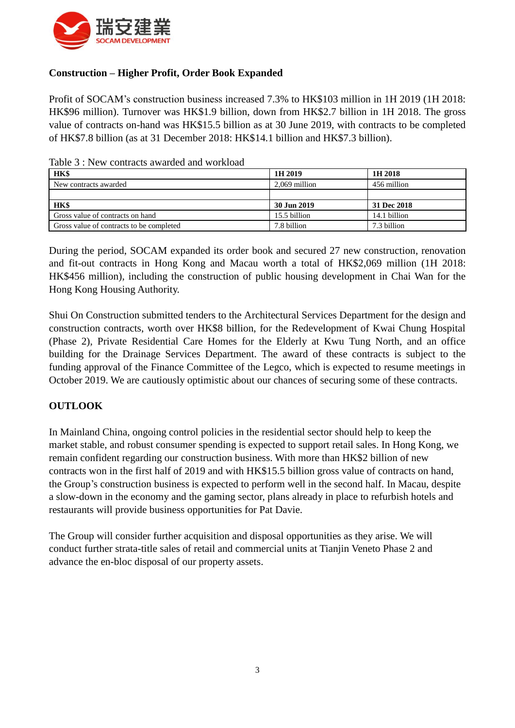

## **Construction – Higher Profit, Order Book Expanded**

Profit of SOCAM's construction business increased 7.3% to HK\$103 million in 1H 2019 (1H 2018: HK\$96 million). Turnover was HK\$1.9 billion, down from HK\$2.7 billion in 1H 2018. The gross value of contracts on-hand was HK\$15.5 billion as at 30 June 2019, with contracts to be completed of HK\$7.8 billion (as at 31 December 2018: HK\$14.1 billion and HK\$7.3 billion).

| HK\$                             | 1H 2019       | 1H 2018      |
|----------------------------------|---------------|--------------|
| New contracts awarded            | 2.069 million | 456 million  |
|                                  |               |              |
|                                  |               |              |
| HK\$                             | 30 Jun 2019   | 31 Dec 2018  |
| Gross value of contracts on hand | 15.5 billion  | 14.1 billion |

Table 3 : New contracts awarded and workload

During the period, SOCAM expanded its order book and secured 27 new construction, renovation and fit-out contracts in Hong Kong and Macau worth a total of HK\$2,069 million (1H 2018: HK\$456 million), including the construction of public housing development in Chai Wan for the Hong Kong Housing Authority.

Shui On Construction submitted tenders to the Architectural Services Department for the design and construction contracts, worth over HK\$8 billion, for the Redevelopment of Kwai Chung Hospital (Phase 2), Private Residential Care Homes for the Elderly at Kwu Tung North, and an office building for the Drainage Services Department. The award of these contracts is subject to the funding approval of the Finance Committee of the Legco, which is expected to resume meetings in October 2019. We are cautiously optimistic about our chances of securing some of these contracts.

## **OUTLOOK**

In Mainland China, ongoing control policies in the residential sector should help to keep the market stable, and robust consumer spending is expected to support retail sales. In Hong Kong, we remain confident regarding our construction business. With more than HK\$2 billion of new contracts won in the first half of 2019 and with HK\$15.5 billion gross value of contracts on hand, the Group's construction business is expected to perform well in the second half. In Macau, despite a slow-down in the economy and the gaming sector, plans already in place to refurbish hotels and restaurants will provide business opportunities for Pat Davie.

The Group will consider further acquisition and disposal opportunities as they arise. We will conduct further strata-title sales of retail and commercial units at Tianjin Veneto Phase 2 and advance the en-bloc disposal of our property assets.